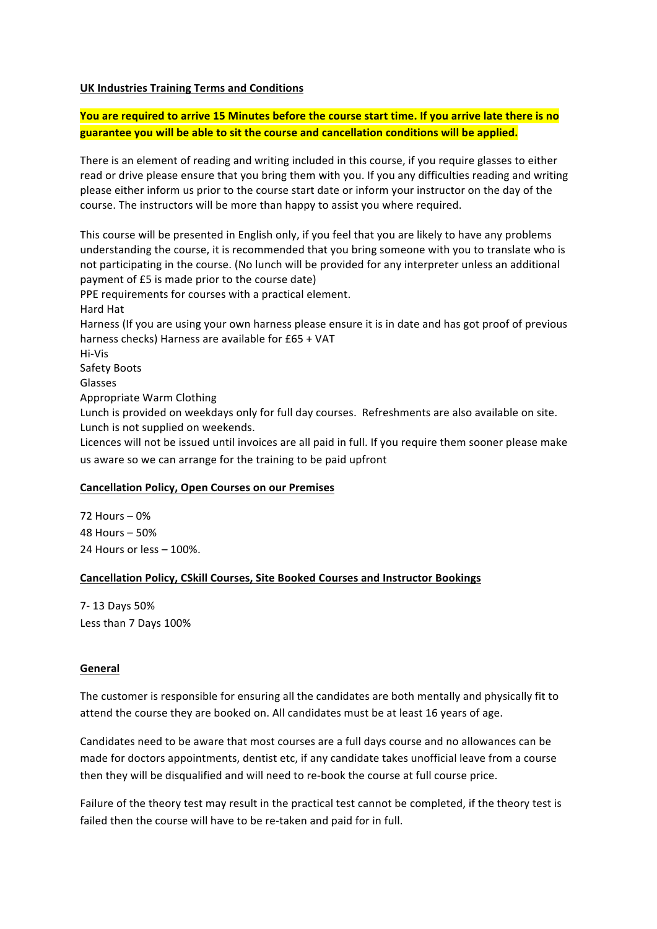#### **UK Industries Training Terms and Conditions**

**You are required to arrive 15 Minutes before the course start time. If you arrive late there is no** guarantee you will be able to sit the course and cancellation conditions will be applied.

There is an element of reading and writing included in this course, if you require glasses to either read or drive please ensure that you bring them with you. If you any difficulties reading and writing please either inform us prior to the course start date or inform your instructor on the day of the course. The instructors will be more than happy to assist you where required.

This course will be presented in English only, if you feel that you are likely to have any problems understanding the course, it is recommended that you bring someone with you to translate who is not participating in the course. (No lunch will be provided for any interpreter unless an additional payment of £5 is made prior to the course date) PPE requirements for courses with a practical element.

Hard Hat

Harness (If you are using your own harness please ensure it is in date and has got proof of previous harness checks) Harness are available for  $£65 + VAT$ 

Hi-Vis

Safety Boots

Glasses

Appropriate Warm Clothing

Lunch is provided on weekdays only for full day courses. Refreshments are also available on site. Lunch is not supplied on weekends.

Licences will not be issued until invoices are all paid in full. If you require them sooner please make us aware so we can arrange for the training to be paid upfront

#### **Cancellation Policy, Open Courses on our Premises**

 $72$  Hours –  $0\%$ 48 Hours – 50% 24 Hours or  $less - 100\%$ .

## **Cancellation Policy, CSkill Courses, Site Booked Courses and Instructor Bookings**

7- 13 Days 50% Less than 7 Days 100%

#### **General**

The customer is responsible for ensuring all the candidates are both mentally and physically fit to attend the course they are booked on. All candidates must be at least 16 years of age.

Candidates need to be aware that most courses are a full days course and no allowances can be made for doctors appointments, dentist etc, if any candidate takes unofficial leave from a course then they will be disqualified and will need to re-book the course at full course price.

Failure of the theory test may result in the practical test cannot be completed, if the theory test is failed then the course will have to be re-taken and paid for in full.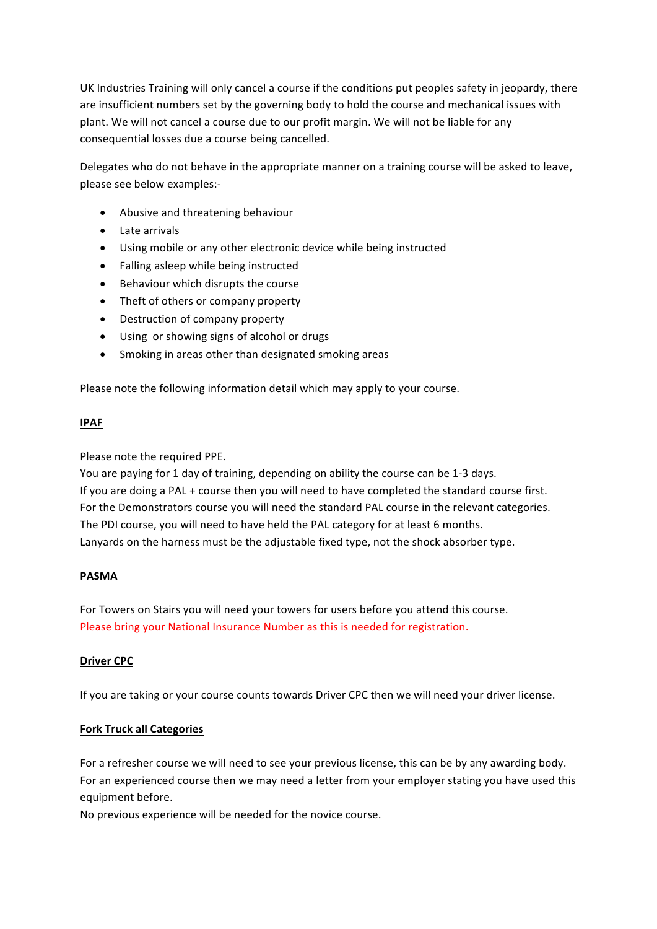UK Industries Training will only cancel a course if the conditions put peoples safety in jeopardy, there are insufficient numbers set by the governing body to hold the course and mechanical issues with plant. We will not cancel a course due to our profit margin. We will not be liable for any consequential losses due a course being cancelled.

Delegates who do not behave in the appropriate manner on a training course will be asked to leave, please see below examples:-

- Abusive and threatening behaviour
- Late arrivals
- Using mobile or any other electronic device while being instructed
- Falling asleep while being instructed
- Behaviour which disrupts the course
- Theft of others or company property
- Destruction of company property
- Using or showing signs of alcohol or drugs
- Smoking in areas other than designated smoking areas

Please note the following information detail which may apply to your course.

#### **IPAF**

Please note the required PPE.

You are paying for 1 day of training, depending on ability the course can be 1-3 days. If you are doing a PAL + course then you will need to have completed the standard course first. For the Demonstrators course you will need the standard PAL course in the relevant categories. The PDI course, you will need to have held the PAL category for at least 6 months. Lanyards on the harness must be the adjustable fixed type, not the shock absorber type.

## **PASMA**

For Towers on Stairs you will need your towers for users before you attend this course. Please bring your National Insurance Number as this is needed for registration.

## **Driver CPC**

If you are taking or your course counts towards Driver CPC then we will need your driver license.

## **Fork Truck all Categories**

For a refresher course we will need to see your previous license, this can be by any awarding body. For an experienced course then we may need a letter from your employer stating you have used this equipment before.

No previous experience will be needed for the novice course.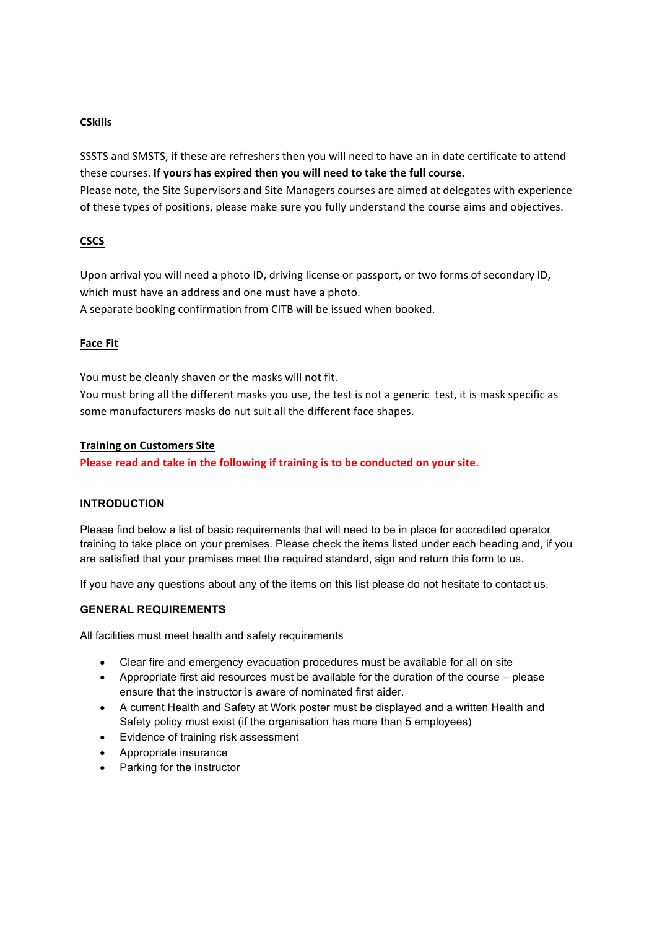# **CSkills**

SSSTS and SMSTS, if these are refreshers then you will need to have an in date certificate to attend these courses. If yours has expired then you will need to take the full course. Please note, the Site Supervisors and Site Managers courses are aimed at delegates with experience of these types of positions, please make sure you fully understand the course aims and objectives.

## **CSCS**

Upon arrival you will need a photo ID, driving license or passport, or two forms of secondary ID, which must have an address and one must have a photo. A separate booking confirmation from CITB will be issued when booked.

#### **Face Fit**

You must be cleanly shaven or the masks will not fit.

You must bring all the different masks you use, the test is not a generic test, it is mask specific as some manufacturers masks do nut suit all the different face shapes.

#### **Training on Customers Site**

**Please read and take in the following if training is to be conducted on your site.** 

## **INTRODUCTION**

Please find below a list of basic requirements that will need to be in place for accredited operator training to take place on your premises. Please check the items listed under each heading and, if you are satisfied that your premises meet the required standard, sign and return this form to us.

If you have any questions about any of the items on this list please do not hesitate to contact us.

## **GENERAL REQUIREMENTS**

All facilities must meet health and safety requirements

- Clear fire and emergency evacuation procedures must be available for all on site
- Appropriate first aid resources must be available for the duration of the course please ensure that the instructor is aware of nominated first aider.
- A current Health and Safety at Work poster must be displayed and a written Health and Safety policy must exist (if the organisation has more than 5 employees)
- Evidence of training risk assessment
- Appropriate insurance
- Parking for the instructor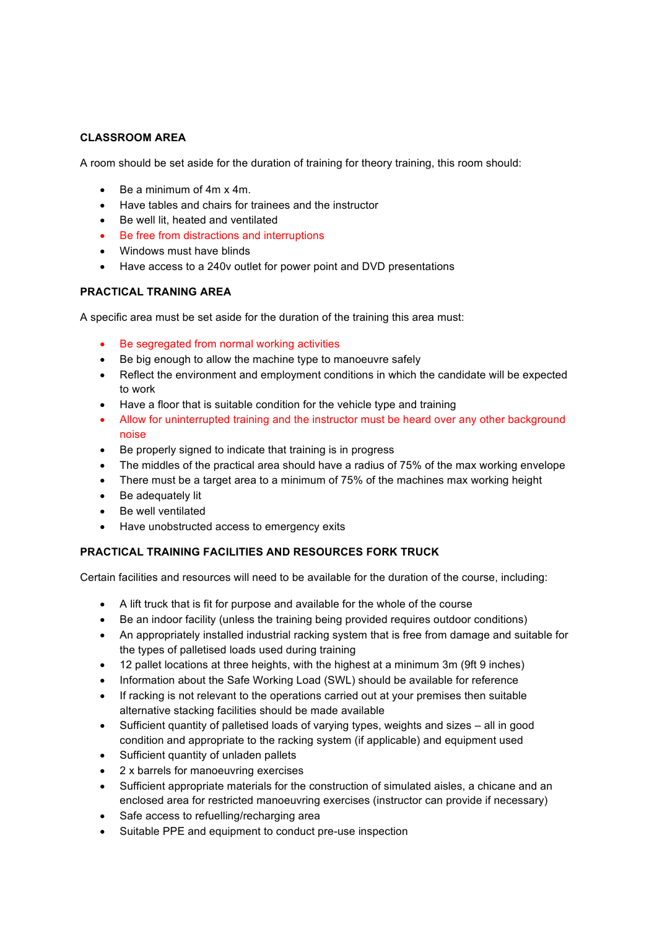# **CLASSROOM AREA**

A room should be set aside for the duration of training for theory training, this room should:

- Be a minimum of 4m x 4m.
- Have tables and chairs for trainees and the instructor
- Be well lit, heated and ventilated
- Be free from distractions and interruptions
- Windows must have blinds
- Have access to a 240v outlet for power point and DVD presentations

#### **PRACTICAL TRANING AREA**

A specific area must be set aside for the duration of the training this area must:

- Be segregated from normal working activities
- Be big enough to allow the machine type to manoeuvre safely
- Reflect the environment and employment conditions in which the candidate will be expected to work
- Have a floor that is suitable condition for the vehicle type and training
- Allow for uninterrupted training and the instructor must be heard over any other background noise
- Be properly signed to indicate that training is in progress
- The middles of the practical area should have a radius of 75% of the max working envelope
- There must be a target area to a minimum of 75% of the machines max working height
- Be adequately lit
- Be well ventilated
- Have unobstructed access to emergency exits

## **PRACTICAL TRAINING FACILITIES AND RESOURCES FORK TRUCK**

Certain facilities and resources will need to be available for the duration of the course, including:

- A lift truck that is fit for purpose and available for the whole of the course
- Be an indoor facility (unless the training being provided requires outdoor conditions)
- An appropriately installed industrial racking system that is free from damage and suitable for the types of palletised loads used during training
- 12 pallet locations at three heights, with the highest at a minimum 3m (9ft 9 inches)
- Information about the Safe Working Load (SWL) should be available for reference
- If racking is not relevant to the operations carried out at your premises then suitable alternative stacking facilities should be made available
- Sufficient quantity of palletised loads of varying types, weights and sizes all in good condition and appropriate to the racking system (if applicable) and equipment used
- Sufficient quantity of unladen pallets
- 2 x barrels for manoeuvring exercises
- Sufficient appropriate materials for the construction of simulated aisles, a chicane and an enclosed area for restricted manoeuvring exercises (instructor can provide if necessary)
- Safe access to refuelling/recharging area
- Suitable PPE and equipment to conduct pre-use inspection